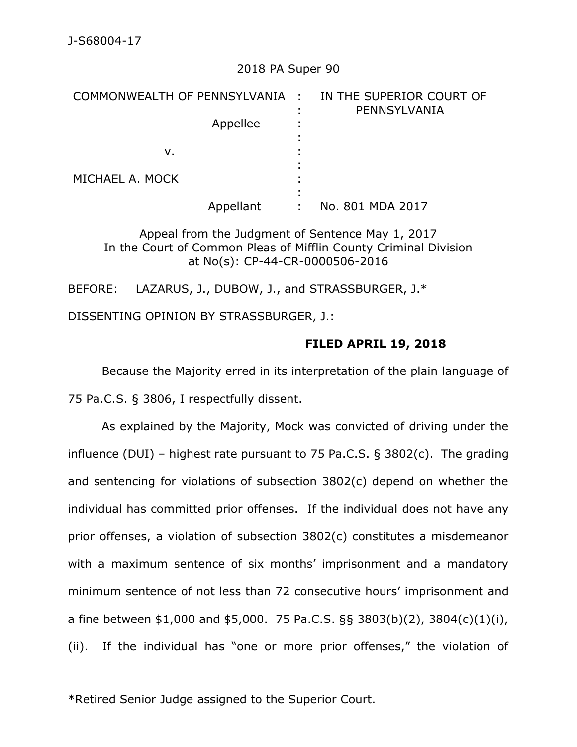# 2018 PA Super 90

| COMMONWEALTH OF PENNSYLVANIA : |  | IN THE SUPERIOR COURT OF<br>PENNSYLVANIA |
|--------------------------------|--|------------------------------------------|
| Appellee                       |  |                                          |
| v.                             |  |                                          |
| MICHAEL A. MOCK                |  |                                          |
| Appellant                      |  | No. 801 MDA 2017                         |

Appeal from the Judgment of Sentence May 1, 2017 In the Court of Common Pleas of Mifflin County Criminal Division at No(s): CP-44-CR-0000506-2016

BEFORE: LAZARUS, J., DUBOW, J., and STRASSBURGER, J.\*

DISSENTING OPINION BY STRASSBURGER, J.:

# **FILED APRIL 19, 2018**

Because the Majority erred in its interpretation of the plain language of 75 Pa.C.S. § 3806, I respectfully dissent.

As explained by the Majority, Mock was convicted of driving under the influence (DUI) – highest rate pursuant to 75 Pa.C.S. § 3802(c). The grading and sentencing for violations of subsection 3802(c) depend on whether the individual has committed prior offenses. If the individual does not have any prior offenses, a violation of subsection 3802(c) constitutes a misdemeanor with a maximum sentence of six months' imprisonment and a mandatory minimum sentence of not less than 72 consecutive hours' imprisonment and a fine between \$1,000 and \$5,000. 75 Pa.C.S. §§ 3803(b)(2), 3804(c)(1)(i), (ii). If the individual has "one or more prior offenses," the violation of

\*Retired Senior Judge assigned to the Superior Court.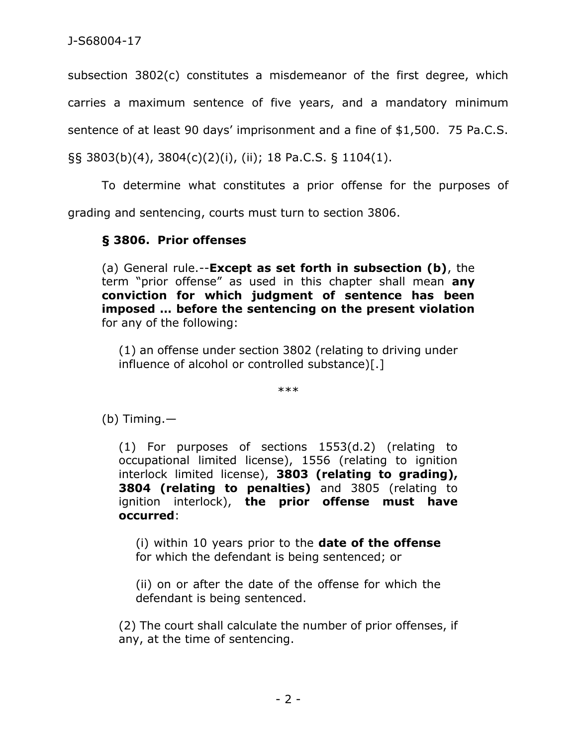subsection 3802(c) constitutes a misdemeanor of the first degree, which carries a maximum sentence of five years, and a mandatory minimum

sentence of at least 90 days' imprisonment and a fine of \$1,500. 75 Pa.C.S.

§§ 3803(b)(4), 3804(c)(2)(i), (ii); 18 Pa.C.S. § 1104(1).

To determine what constitutes a prior offense for the purposes of grading and sentencing, courts must turn to section 3806.

# **§ 3806. Prior offenses**

(a) General rule.--**Except as set forth in subsection (b)**, the term "prior offense" as used in this chapter shall mean **any conviction for which judgment of sentence has been imposed … before the sentencing on the present violation** for any of the following:

(1) an offense under section 3802 (relating to driving under influence of alcohol or controlled substance)[.]

\*\*\*

(b) Timing.—

(1) For purposes of sections 1553(d.2) (relating to occupational limited license), 1556 (relating to ignition interlock limited license), **3803 (relating to grading), 3804 (relating to penalties)** and 3805 (relating to ignition interlock), **the prior offense must have occurred**:

(i) within 10 years prior to the **date of the offense** for which the defendant is being sentenced; or

(ii) on or after the date of the offense for which the defendant is being sentenced.

(2) The court shall calculate the number of prior offenses, if any, at the time of sentencing.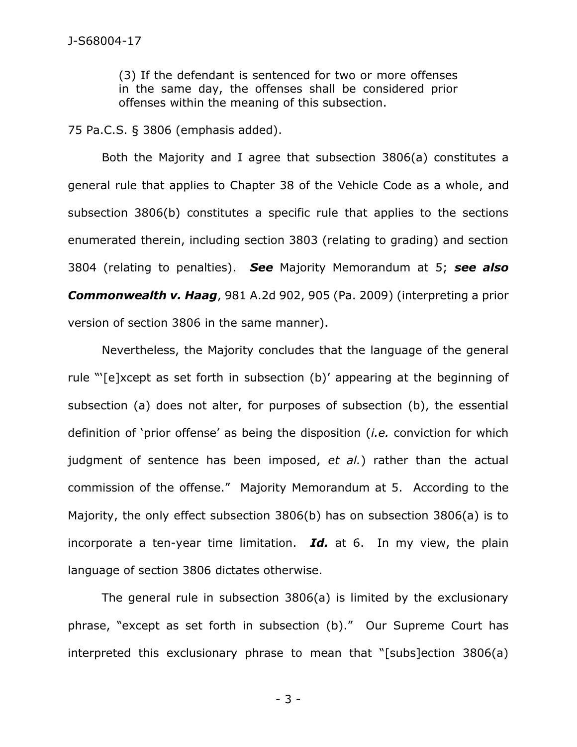(3) If the defendant is sentenced for two or more offenses in the same day, the offenses shall be considered prior offenses within the meaning of this subsection.

75 Pa.C.S. § 3806 (emphasis added).

Both the Majority and I agree that subsection 3806(a) constitutes a general rule that applies to Chapter 38 of the Vehicle Code as a whole, and subsection 3806(b) constitutes a specific rule that applies to the sections enumerated therein, including section 3803 (relating to grading) and section 3804 (relating to penalties). *See* Majority Memorandum at 5; *see also Commonwealth v. Haag*, 981 A.2d 902, 905 (Pa. 2009) (interpreting a prior version of section 3806 in the same manner).

Nevertheless, the Majority concludes that the language of the general rule "'[e]xcept as set forth in subsection (b)' appearing at the beginning of subsection (a) does not alter, for purposes of subsection (b), the essential definition of 'prior offense' as being the disposition (*i.e.* conviction for which judgment of sentence has been imposed, *et al.*) rather than the actual commission of the offense." Majority Memorandum at 5. According to the Majority, the only effect subsection 3806(b) has on subsection 3806(a) is to incorporate a ten-year time limitation. *Id.* at 6.In my view, the plain language of section 3806 dictates otherwise.

The general rule in subsection 3806(a) is limited by the exclusionary phrase, "except as set forth in subsection (b)." Our Supreme Court has interpreted this exclusionary phrase to mean that "[subs]ection 3806(a)

- 3 -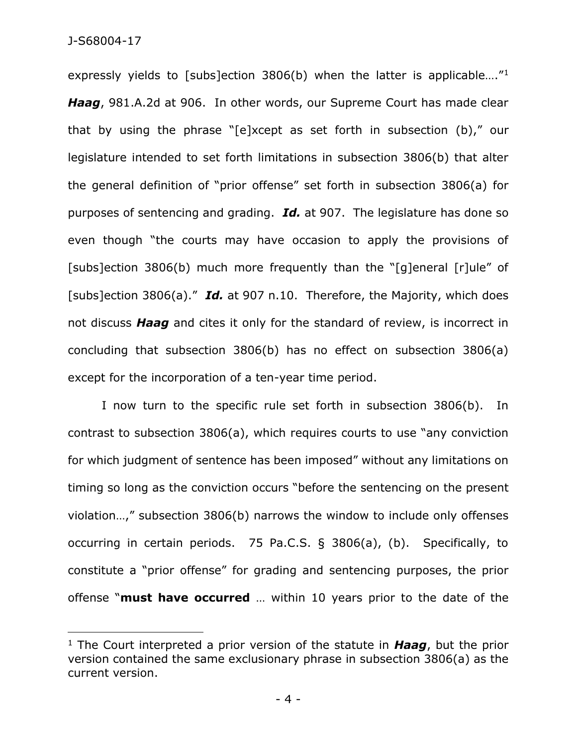### J-S68004-17

 $\overline{a}$ 

expressly yields to [subs]ection 3806(b) when the latter is applicable....<sup>"1</sup> *Haag*, 981.A.2d at 906. In other words, our Supreme Court has made clear that by using the phrase "[e]xcept as set forth in subsection (b)," our legislature intended to set forth limitations in subsection 3806(b) that alter the general definition of "prior offense" set forth in subsection 3806(a) for purposes of sentencing and grading. *Id.* at 907. The legislature has done so even though "the courts may have occasion to apply the provisions of [subs]ection 3806(b) much more frequently than the "[g]eneral [r]ule" of [subs]ection 3806(a)." *Id.* at 907 n.10. Therefore, the Majority, which does not discuss *Haag* and cites it only for the standard of review, is incorrect in concluding that subsection 3806(b) has no effect on subsection 3806(a) except for the incorporation of a ten-year time period.

I now turn to the specific rule set forth in subsection 3806(b). In contrast to subsection 3806(a), which requires courts to use "any conviction for which judgment of sentence has been imposed" without any limitations on timing so long as the conviction occurs "before the sentencing on the present violation…," subsection 3806(b) narrows the window to include only offenses occurring in certain periods. 75 Pa.C.S. § 3806(a), (b). Specifically, to constitute a "prior offense" for grading and sentencing purposes, the prior offense "**must have occurred** … within 10 years prior to the date of the

<sup>1</sup> The Court interpreted a prior version of the statute in *Haag*, but the prior version contained the same exclusionary phrase in subsection 3806(a) as the current version.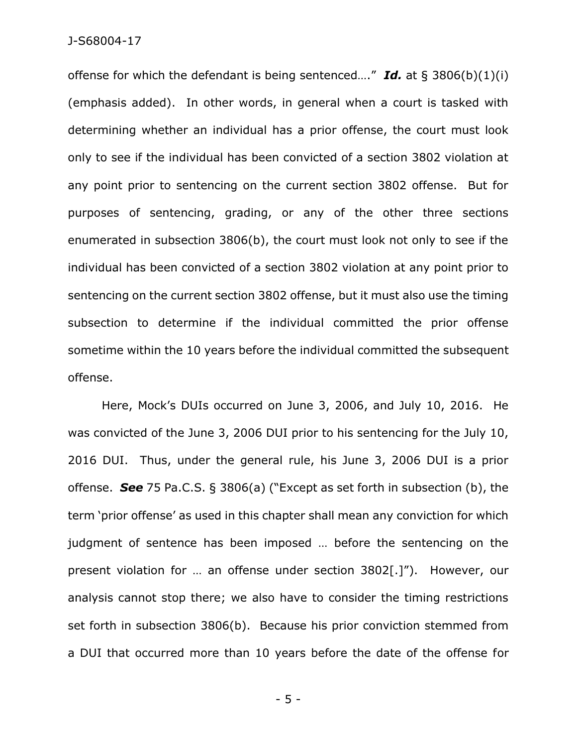#### J-S68004-17

offense for which the defendant is being sentenced…." *Id.* at § 3806(b)(1)(i) (emphasis added). In other words, in general when a court is tasked with determining whether an individual has a prior offense, the court must look only to see if the individual has been convicted of a section 3802 violation at any point prior to sentencing on the current section 3802 offense. But for purposes of sentencing, grading, or any of the other three sections enumerated in subsection 3806(b), the court must look not only to see if the individual has been convicted of a section 3802 violation at any point prior to sentencing on the current section 3802 offense, but it must also use the timing subsection to determine if the individual committed the prior offense sometime within the 10 years before the individual committed the subsequent offense.

Here, Mock's DUIs occurred on June 3, 2006, and July 10, 2016. He was convicted of the June 3, 2006 DUI prior to his sentencing for the July 10, 2016 DUI. Thus, under the general rule, his June 3, 2006 DUI is a prior offense. *See* 75 Pa.C.S. § 3806(a) ("Except as set forth in subsection (b), the term 'prior offense' as used in this chapter shall mean any conviction for which judgment of sentence has been imposed … before the sentencing on the present violation for … an offense under section 3802[.]"). However, our analysis cannot stop there; we also have to consider the timing restrictions set forth in subsection 3806(b). Because his prior conviction stemmed from a DUI that occurred more than 10 years before the date of the offense for

- 5 -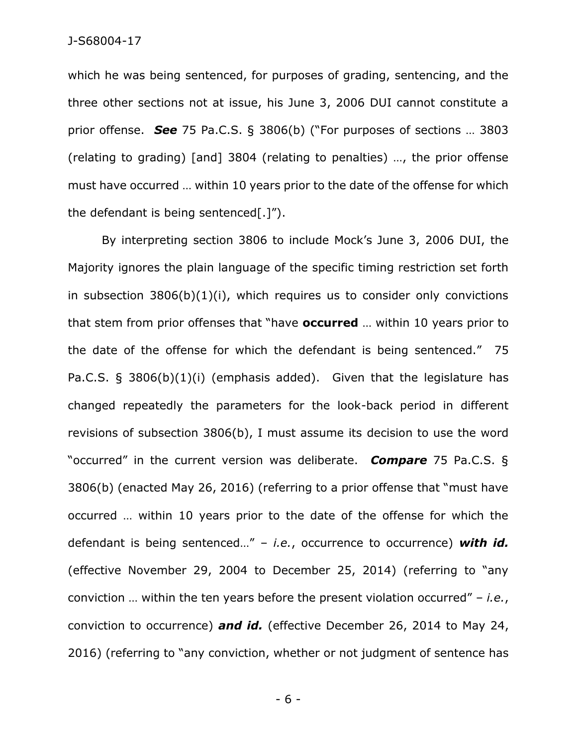which he was being sentenced, for purposes of grading, sentencing, and the three other sections not at issue, his June 3, 2006 DUI cannot constitute a prior offense. *See* 75 Pa.C.S. § 3806(b) ("For purposes of sections … 3803 (relating to grading) [and] 3804 (relating to penalties) …, the prior offense must have occurred … within 10 years prior to the date of the offense for which the defendant is being sentenced[.]").

By interpreting section 3806 to include Mock's June 3, 2006 DUI, the Majority ignores the plain language of the specific timing restriction set forth in subsection  $3806(b)(1)(i)$ , which requires us to consider only convictions that stem from prior offenses that "have **occurred** … within 10 years prior to the date of the offense for which the defendant is being sentenced." 75 Pa.C.S. § 3806(b)(1)(i) (emphasis added). Given that the legislature has changed repeatedly the parameters for the look-back period in different revisions of subsection 3806(b), I must assume its decision to use the word "occurred" in the current version was deliberate. *Compare* 75 Pa.C.S. § 3806(b) (enacted May 26, 2016) (referring to a prior offense that "must have occurred … within 10 years prior to the date of the offense for which the defendant is being sentenced…" – *i.e.*, occurrence to occurrence) *with id.*  (effective November 29, 2004 to December 25, 2014) (referring to "any conviction … within the ten years before the present violation occurred" – *i.e.*, conviction to occurrence) *and id.* (effective December 26, 2014 to May 24, 2016) (referring to "any conviction, whether or not judgment of sentence has

- 6 -